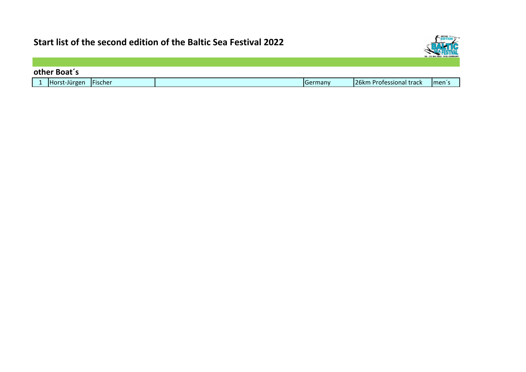

|        | other Boat's |         |  |         |                         |                   |  |
|--------|--------------|---------|--|---------|-------------------------|-------------------|--|
| $\sim$ | Horst-Jürgen | Fischer |  | Germany | 26km Professional track | Imen <sup>7</sup> |  |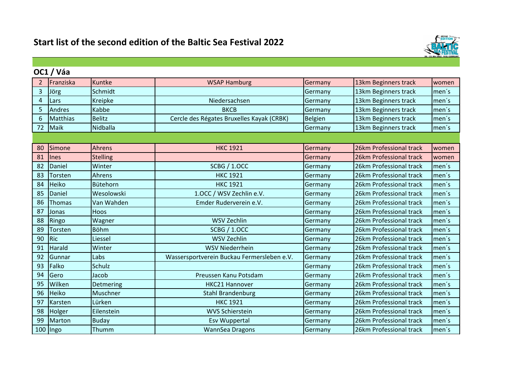

|                | OC1 / Váa       |                 |                                            |         |                         |       |
|----------------|-----------------|-----------------|--------------------------------------------|---------|-------------------------|-------|
| 2              | Franziska       | Kuntke          | <b>WSAP Hamburg</b>                        | Germany | 13km Beginners track    | women |
| $\overline{3}$ | Jörg            | Schmidt         |                                            | Germany | 13km Beginners track    | men's |
| $\overline{4}$ | Lars            | Kreipke         | Niedersachsen                              | Germany | 13km Beginners track    | men's |
| 5              | <b>Andres</b>   | <b>Kabbe</b>    | <b>BKCB</b>                                | Germany | 13km Beginners track    | men's |
| 6              | <b>Matthias</b> | <b>Belitz</b>   | Cercle des Régates Bruxelles Kayak (CRBK)  | Belgien | 13km Beginners track    | men's |
| 72             | Maik            | Nidballa        |                                            | Germany | 13km Beginners track    | men's |
|                |                 |                 |                                            |         |                         |       |
| 80             | Simone          | Ahrens          | <b>HKC 1921</b>                            | Germany | 26km Professional track | women |
| 81             | Ines            | <b>Stelling</b> |                                            | Germany | 26km Professional track | women |
| 82             | Daniel          | Winter          | <b>SCBG / 1.OCC</b>                        | Germany | 26km Professional track | men's |
| 83             | Torsten         | Ahrens          | <b>HKC 1921</b>                            | Germany | 26km Professional track | men's |
| 84             | Heiko           | Bütehorn        | <b>HKC 1921</b>                            | Germany | 26km Professional track | men's |
| 85             | Daniel          | Wesolowski      | 1.OCC / WSV Zechlin e.V.                   | Germany | 26km Professional track | men's |
| 86             | Thomas          | Van Wahden      | Emder Ruderverein e.V.                     | Germany | 26km Professional track | men's |
| 87             | Jonas           | Hoos            |                                            | Germany | 26km Professional track | men's |
| 88             | Ringo           | Wagner          | <b>WSV Zechlin</b>                         | Germany | 26km Professional track | men's |
| 89             | Torsten         | <b>Böhm</b>     | <b>SCBG / 1.OCC</b>                        | Germany | 26km Professional track | men's |
| 90             | Ric             | Liessel         | <b>WSV Zechlin</b>                         | Germany | 26km Professional track | men's |
| 91             | Harald          | Winter          | <b>WSV Niederrhein</b>                     | Germany | 26km Professional track | men's |
| 92             | Gunnar          | Labs            | Wassersportverein Buckau Fermersleben e.V. | Germany | 26km Professional track | men's |
| 93             | Falko           | Schulz          |                                            | Germany | 26km Professional track | men's |
| 94             | Gero            | Jacob           | Preussen Kanu Potsdam                      | Germany | 26km Professional track | men's |
| 95             | Wilken          | Detmering       | <b>HKC21 Hannover</b>                      | Germany | 26km Professional track | men's |
| 96             | <b>Heiko</b>    | Muschner        | <b>Stahl Brandenburg</b>                   | Germany | 26km Professional track | men's |
| 97             | Karsten         | Lürken          | <b>HKC 1921</b>                            | Germany | 26km Professional track | men's |
| 98             | Holger          | Eilenstein      | <b>WVS Schierstein</b>                     | Germany | 26km Professional track | men's |
| 99             | <b>Marton</b>   | <b>Buday</b>    | <b>Esv Wuppertal</b>                       | Germany | 26km Professional track | men's |
|                | 100   Ingo      | Thumm           | WannSea Dragons                            | Germany | 26km Professional track | men's |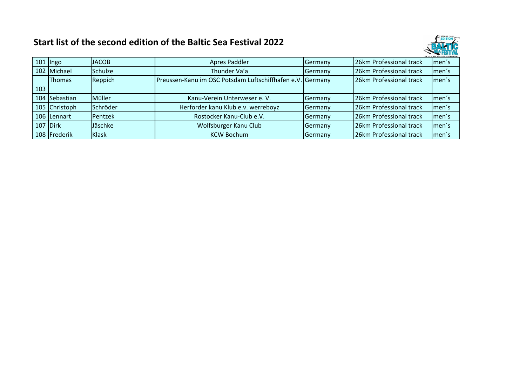

|               |                |                                    |                                                                                                                                               | 20. - 23. Mai 2022 - KIEL-GERMANY                                                                                                                                                         |
|---------------|----------------|------------------------------------|-----------------------------------------------------------------------------------------------------------------------------------------------|-------------------------------------------------------------------------------------------------------------------------------------------------------------------------------------------|
| $101$   Ingo  |                | <b>Apres Paddler</b>               |                                                                                                                                               | men's                                                                                                                                                                                     |
| 102 Michael   | <b>Schulze</b> | Thunder Va'a                       |                                                                                                                                               | men's                                                                                                                                                                                     |
| <b>Thomas</b> | Reppich        |                                    |                                                                                                                                               | men's                                                                                                                                                                                     |
|               |                |                                    |                                                                                                                                               |                                                                                                                                                                                           |
| 104 Sebastian | Müller         | Kanu-Verein Unterweser e. V.       | 26km Professional track                                                                                                                       | men's                                                                                                                                                                                     |
| 105 Christoph |                | Herforder kanu Klub e.v. werreboyz |                                                                                                                                               | men's                                                                                                                                                                                     |
| 106 Lennart   | Pentzek        | Rostocker Kanu-Club e.V.           |                                                                                                                                               | men's                                                                                                                                                                                     |
| 107 Dirk      | Jäschke        | Wolfsburger Kanu Club              |                                                                                                                                               | men's                                                                                                                                                                                     |
| 108 Frederik  | Klask          | <b>KCW Bochum</b>                  |                                                                                                                                               | men's                                                                                                                                                                                     |
|               |                | <b>JACOB</b><br>Schröder           | <b>Germany</b><br>Germany<br>Preussen-Kanu im OSC Potsdam Luftschiffhafen e.V. Germany<br>Germany<br>Germany<br>Germany<br>Germany<br>Germany | 26km Professional track<br>26km Professional track<br>26km Professional track<br>26km Professional track<br>26km Professional track<br>26km Professional track<br>26km Professional track |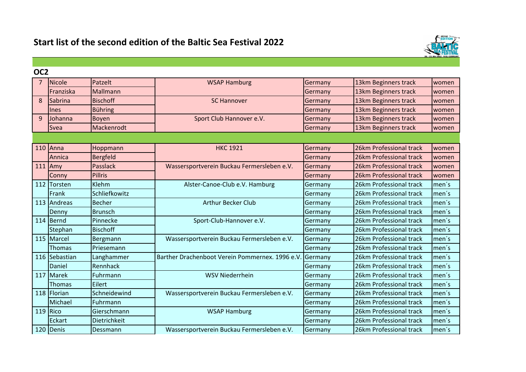

| OC <sub>2</sub> |               |                 |                                                 |         |                         |       |
|-----------------|---------------|-----------------|-------------------------------------------------|---------|-------------------------|-------|
| 7               | <b>Nicole</b> | Patzelt         | <b>WSAP Hamburg</b>                             | Germany | 13km Beginners track    | women |
|                 | Franziska     | Mallmann        |                                                 | Germany | 13km Beginners track    | women |
| 8               | Sabrina       | <b>Bischoff</b> | <b>SC Hannover</b>                              | Germany | 13km Beginners track    | women |
|                 | <b>Ines</b>   | <b>Bühring</b>  |                                                 | Germany | 13km Beginners track    | women |
| 9               | Johanna       | <b>Boyen</b>    | Sport Club Hannover e.V.                        | Germany | 13km Beginners track    | women |
|                 | <b>Svea</b>   | Mackenrodt      |                                                 | Germany | 13km Beginners track    | women |
|                 |               |                 |                                                 |         |                         |       |
|                 | $110$ Anna    | Hoppmann        | <b>HKC 1921</b>                                 | Germany | 26km Professional track | women |
|                 | Annica        | <b>Bergfeld</b> |                                                 | Germany | 26km Professional track | women |
|                 | $111$ Amy     | <b>Passlack</b> | Wassersportverein Buckau Fermersleben e.V.      | Germany | 26km Professional track | women |
|                 | Conny         | <b>Pillris</b>  |                                                 | Germany | 26km Professional track | women |
|                 | 112 Torsten   | Klehm           | Alster-Canoe-Club e.V. Hamburg                  | Germany | 26km Professional track | men's |
|                 | Frank         | Schliefkowitz   |                                                 | Germany | 26km Professional track | men's |
|                 | 113 Andreas   | <b>Becher</b>   | <b>Arthur Becker Club</b>                       | Germany | 26km Professional track | men's |
|                 | Denny         | <b>Brunsch</b>  |                                                 | Germany | 26km Professional track | men's |
|                 | 114 Bernd     | Pinnecke        | Sport-Club-Hannover e.V.                        | Germany | 26km Professional track | men's |
|                 | Stephan       | <b>Bischoff</b> |                                                 | Germany | 26km Professional track | men's |
|                 | 115 Marcel    | Bergmann        | Wassersportverein Buckau Fermersleben e.V.      | Germany | 26km Professional track | men's |
|                 | <b>Thomas</b> | Priesemann      |                                                 | Germany | 26km Professional track | men's |
|                 | 116 Sebastian | Langhammer      | Barther Drachenboot Verein Pommernex. 1996 e.V. | Germany | 26km Professional track | men's |
|                 | Daniel        | Rennhack        |                                                 | Germany | 26km Professional track | men's |
|                 | 117 Marek     | Fuhrmann        | <b>WSV Niederrhein</b>                          | Germany | 26km Professional track | men's |
|                 | <b>Thomas</b> | Eilert          |                                                 | Germany | 26km Professional track | men's |
|                 | 118 Florian   | Schneidewind    | Wassersportverein Buckau Fermersleben e.V.      | Germany | 26km Professional track | men's |
|                 | Michael       | Fuhrmann        |                                                 | Germany | 26km Professional track | men's |
|                 | 119 $Rico$    | Gierschmann     | <b>WSAP Hamburg</b>                             | Germany | 26km Professional track | men's |
|                 | Eckart        | Dietrichkeit    |                                                 | Germany | 26km Professional track | men's |
|                 | 120 Denis     | Dessmann        | Wassersportverein Buckau Fermersleben e.V.      | Germany | 26km Professional track | men's |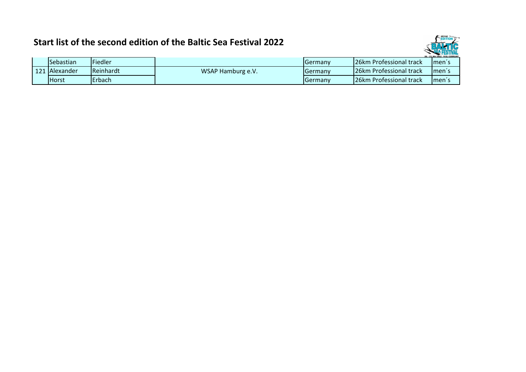

|     |                |           |                   |                  |                                | 20. - 23. Mai 2022 - KIEL-GERMANY |
|-----|----------------|-----------|-------------------|------------------|--------------------------------|-----------------------------------|
|     | Sebastian      | Fiedler   |                   | <b>I</b> Germanv | 126km Professional track       | Imen's                            |
| 121 | Alexander      | Reinhardt | WSAP Hamburg e.V. | <b>I</b> Germanv | <b>26km Professional track</b> | Imen's                            |
|     | <b>I</b> Horst | Erbach    |                   | <b>I</b> Germanv | 126km Professional track       | <b>Imen's</b>                     |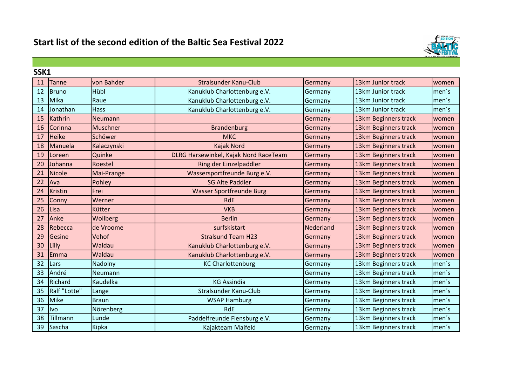

|    | SSK1         |              |                                       |           |                      |       |  |  |
|----|--------------|--------------|---------------------------------------|-----------|----------------------|-------|--|--|
| 11 | Tanne        | von Bahder   | Stralsunder Kanu-Club                 | Germany   | 13km Junior track    | women |  |  |
| 12 | <b>Bruno</b> | Hübl         | Kanuklub Charlottenburg e.V.          | Germany   | 13km Junior track    | men's |  |  |
| 13 | Mika         | Raue         | Kanuklub Charlottenburg e.V.          | Germany   | 13km Junior track    | men's |  |  |
| 14 | Jonathan     | Hass         | Kanuklub Charlottenburg e.V.          | Germany   | 13km Junior track    | men's |  |  |
| 15 | Kathrin      | Neumann      |                                       | Germany   | 13km Beginners track | women |  |  |
| 16 | Corinna      | Muschner     | <b>Brandenburg</b>                    | Germany   | 13km Beginners track | women |  |  |
| 17 | Heike        | Schöwer      | <b>MKC</b>                            | Germany   | 13km Beginners track | women |  |  |
| 18 | Manuela      | Kalaczynski  | Kajak Nord                            | Germany   | 13km Beginners track | women |  |  |
| 19 | Loreen       | Quinke       | DLRG Harsewinkel, Kajak Nord RaceTeam | Germany   | 13km Beginners track | women |  |  |
| 20 | Johanna      | Roestel      | Ring der Einzelpaddler                | Germany   | 13km Beginners track | women |  |  |
| 21 | Nicole       | Mai-Prange   | Wassersportfreunde Burg e.V.          | Germany   | 13km Beginners track | women |  |  |
| 22 | Ava          | Pohley       | <b>SG Alte Paddler</b>                | Germany   | 13km Beginners track | women |  |  |
| 24 | Kristin      | Frei         | <b>Wasser Sportfreunde Burg</b>       | Germany   | 13km Beginners track | women |  |  |
| 25 | Conny        | Werner       | <b>RdE</b>                            | Germany   | 13km Beginners track | women |  |  |
| 26 | Lisa         | Kütter       | <b>VKB</b>                            | Germany   | 13km Beginners track | women |  |  |
| 27 | Anke         | Wollberg     | <b>Berlin</b>                         | Germany   | 13km Beginners track | women |  |  |
| 28 | Rebecca      | de Vroome    | surfskistart                          | Nederland | 13km Beginners track | women |  |  |
| 29 | Gesine       | Vehof        | <b>Stralsund Team H23</b>             | Germany   | 13km Beginners track | women |  |  |
| 30 | Lilly        | Waldau       | Kanuklub Charlottenburg e.V.          | Germany   | 13km Beginners track | women |  |  |
| 31 | Emma         | Waldau       | Kanuklub Charlottenburg e.V.          | Germany   | 13km Beginners track | women |  |  |
| 32 | Lars         | Nadolny      | <b>KC Charlottenburg</b>              | Germany   | 13km Beginners track | men's |  |  |
| 33 | André        | Neumann      |                                       | Germany   | 13km Beginners track | men's |  |  |
| 34 | Richard      | Kaudelka     | <b>KG Assindia</b>                    | Germany   | 13km Beginners track | men's |  |  |
| 35 | Ralf "Lotte" | Lange        | Stralsunder Kanu-Club                 | Germany   | 13km Beginners track | men's |  |  |
| 36 | Mike         | <b>Braun</b> | <b>WSAP Hamburg</b>                   | Germany   | 13km Beginners track | men's |  |  |
| 37 | livo         | Nörenberg    | <b>RdE</b>                            | Germany   | 13km Beginners track | men's |  |  |
| 38 | Tillmann     | Lunde        | Paddelfreunde Flensburg e.V.          | Germany   | 13km Beginners track | men's |  |  |
| 39 | Sascha       | Kipka        | Kajakteam Maifeld                     | Germany   | 13km Beginners track | men's |  |  |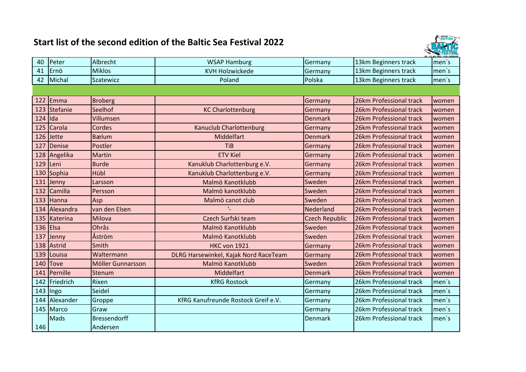

| 40  | Peter         | Albrecht            | <b>WSAP Hamburg</b>                   | Germany               | 13km Beginners track    | men's |
|-----|---------------|---------------------|---------------------------------------|-----------------------|-------------------------|-------|
| 41  | Ernö          | <b>Miklos</b>       | <b>KVH Holzwickede</b>                | Germany               | 13km Beginners track    | men's |
| 42  | Michal        | Szatewicz           | Poland                                | Polska                | 13km Beginners track    | men's |
|     |               |                     |                                       |                       |                         |       |
| 122 | Emma          | <b>Broberg</b>      |                                       | Germany               | 26km Professional track | women |
| 123 | Stefanie      | Seelhof             | <b>KC Charlottenburg</b>              | Germany               | 26km Professional track | women |
| 124 | lida          | Villumsen           |                                       | <b>Denmark</b>        | 26km Professional track | women |
|     | 125 Carola    | Cordes              | <b>Kanuclub Charlottenburg</b>        | Germany               | 26km Professional track | women |
|     | $126$ Jette   | <b>B</b> ælum       | Middelfart                            | <b>Denmark</b>        | 26km Professional track | women |
| 127 | Denise        | Postler             | <b>TiB</b>                            | Germany               | 26km Professional track | women |
|     | 128 Angelika  | <b>Martin</b>       | <b>ETV Kiel</b>                       | Germany               | 26km Professional track | women |
| 129 | Leni          | <b>Burde</b>        | Kanuklub Charlottenburg e.V.          | Germany               | 26km Professional track | women |
|     | 130 Sophia    | Hübl                | Kanuklub Charlottenburg e.V.          | Germany               | 26km Professional track | women |
| 131 | Jenny         | Larsson             | Malmö Kanotklubb                      | Sweden                | 26km Professional track | women |
| 132 | Camilla       | Persson             | Malmö kanotklubb                      | Sweden                | 26km Professional track | women |
| 133 | Hanna         | Asp                 | Malmö canot club                      | Sweden                | 26km Professional track | women |
|     | 134 Alexandra | van den Elsen       |                                       | Nederland             | 26km Professional track | women |
| 135 | Katerina      | Milova              | Czech Surfski team                    | <b>Czech Republic</b> | 26km Professional track | women |
|     | 136 Elsa      | Ohrås               | Malmö Kanotklubb                      | Sweden                | 26km Professional track | women |
| 137 | Jenny         | Åström              | Malmö Kanotklubb                      | Sweden                | 26km Professional track | women |
|     | 138 Astrid    | Smith               | <b>HKC von 1921</b>                   | Germany               | 26km Professional track | women |
| 139 | Louisa        | Waltermann          | DLRG Harsewinkel, Kajak Nord RaceTeam | Germany               | 26km Professional track | women |
| 140 | <b>Tove</b>   | Möller Gunnarsson   | Malmö Kanotklubb                      | Sweden                | 26km Professional track | women |
| 141 | Pernille      | Stenum              | Middelfart                            | <b>Denmark</b>        | 26km Professional track | women |
| 142 | Friedrich     | Rixen               | <b>KfRG Rostock</b>                   | Germany               | 26km Professional track | men's |
|     | 143 Ingo      | Seidel              |                                       | Germany               | 26km Professional track | men's |
| 144 | Alexander     | Groppe              | KfRG Kanufreunde Rostock Greif e.V.   | Germany               | 26km Professional track | men's |
|     | 145 Marco     | Graw                |                                       | Germany               | 26km Professional track | men's |
|     | Mads          | <b>Bressendorff</b> |                                       | <b>Denmark</b>        | 26km Professional track | men's |
| 146 |               | Andersen            |                                       |                       |                         |       |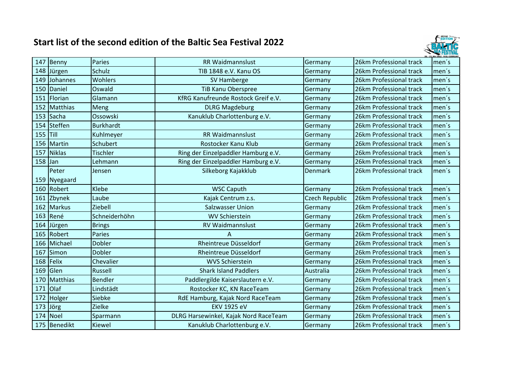

| 147       | Benny         | Paries           | RR Waidmannslust                      | Germany               | 26km Professional track | men's |
|-----------|---------------|------------------|---------------------------------------|-----------------------|-------------------------|-------|
| 148       | Jürgen        | <b>Schulz</b>    | TIB 1848 e.V. Kanu OS                 | Germany               | 26km Professional track | men's |
| 149       | Johannes      | Wohlers          | SV Hamberge                           | Germany               | 26km Professional track | men's |
| 150       | Daniel        | Oswald           | <b>TiB Kanu Oberspree</b>             | Germany               | 26km Professional track | men's |
| 151       | Florian       | Glamann          | KfRG Kanufreunde Rostock Greif e.V.   | Germany               | 26km Professional track | men's |
| 152       | Matthias      | Meng             | <b>DLRG Magdeburg</b>                 | Germany               | 26km Professional track | men's |
|           | 153 Sacha     | Ossowski         | Kanuklub Charlottenburg e.V.          | Germany               | 26km Professional track | men's |
| 154       | Steffen       | <b>Burkhardt</b> |                                       | Germany               | 26km Professional track | men's |
| 155 Till  |               | Kuhlmeyer        | <b>RR Waidmannslust</b>               | Germany               | 26km Professional track | men's |
| 156       | Martin        | Schubert         | Rostocker Kanu Klub                   | Germany               | 26km Professional track | men's |
| 157       | Niklas        | <b>Tischler</b>  | Ring der Einzelpaddler Hamburg e.V.   | Germany               | 26km Professional track | men's |
| $158$ Jan |               | Lehmann          | Ring der Einzelpaddler Hamburg e.V.   | Germany               | 26km Professional track | men's |
|           | Peter         | Jensen           | Silkeborg Kajakklub                   | <b>Denmark</b>        | 26km Professional track | men's |
|           | 159 Nyegaard  |                  |                                       |                       |                         |       |
| 160       | Robert        | Klebe            | <b>WSC Caputh</b>                     | Germany               | 26km Professional track | men's |
| 161       | Zbynek        | Laube            | Kajak Centrum z.s.                    | <b>Czech Republic</b> | 26km Professional track | men's |
| 162       | <b>Markus</b> | Ziebell          | <b>Salzwasser Union</b>               | Germany               | 26km Professional track | men's |
| 163       | René          | Schneiderhöhn    | <b>WV Schierstein</b>                 | Germany               | 26km Professional track | men's |
| 164       | Jürgen        | <b>Brings</b>    | <b>RV Waidmannslust</b>               | Germany               | 26km Professional track | men's |
| 165       | Robert        | Paries           | A                                     | Germany               | 26km Professional track | men's |
| 166       | Michael       | Dobler           | Rheintreue Düsseldorf                 | Germany               | 26km Professional track | men's |
| 167       | Simon         | <b>Dobler</b>    | Rheintreue Düsseldorf                 | Germany               | 26km Professional track | men's |
| 168       | Felix         | Chevalier        | <b>WVS Schierstein</b>                | Germany               | 26km Professional track | men's |
| 169       | Glen          | <b>Russell</b>   | <b>Shark Island Paddlers</b>          | Australia             | 26km Professional track | men's |
| 170       | Matthias      | <b>Bendler</b>   | Paddlergilde Kaiserslautern e.V.      | Germany               | 26km Professional track | men's |
| 171       | <b>Olaf</b>   | Lindstädt        | Rostocker KC, KN RaceTeam             | Germany               | 26km Professional track | men's |
| 172       | Holger        | Siebke           | RdE Hamburg, Kajak Nord RaceTeam      | Germany               | 26km Professional track | men's |
| 173       | Jörg          | <b>Zielke</b>    | <b>EKV 1925 eV</b>                    | Germany               | 26km Professional track | men's |
|           | 174 Noel      | Sparmann         | DLRG Harsewinkel, Kajak Nord RaceTeam | Germany               | 26km Professional track | men's |
|           | 175 Benedikt  | Kiewel           | Kanuklub Charlottenburg e.V.          | Germany               | 26km Professional track | men's |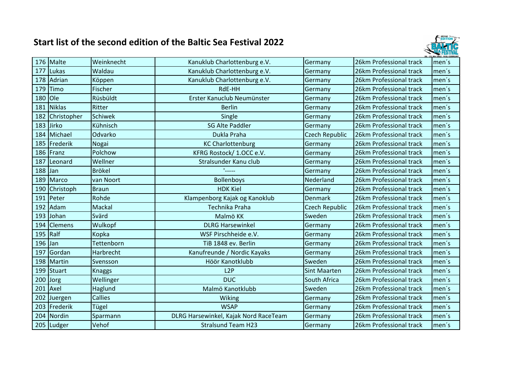

|     | 176 Malte      | Weinknecht     | Kanuklub Charlottenburg e.V.          | Germany               | 26km Professional track | men's |
|-----|----------------|----------------|---------------------------------------|-----------------------|-------------------------|-------|
| 177 | Lukas          | Waldau         | Kanuklub Charlottenburg e.V.          | Germany               | 26km Professional track | men's |
| 178 | Adrian         | Köppen         | Kanuklub Charlottenburg e.V.          | Germany               | 26km Professional track | men's |
| 179 | Timo           | Fischer        | RdE-HH                                | Germany               | 26km Professional track | men's |
| 180 | lole           | Rüsbüldt       | Erster Kanuclub Neumünster            | Germany               | 26km Professional track | men's |
| 181 | Niklas         | Ritter         | <b>Berlin</b>                         | Germany               | 26km Professional track | men's |
| 182 | Christopher    | <b>Schiwek</b> | Single                                | Germany               | 26km Professional track | men's |
| 183 | <b>Jirko</b>   | Kühnisch       | <b>SG Alte Paddler</b>                | Germany               | 26km Professional track | men's |
| 184 | Michael        | Odvarko        | Dukla Praha                           | <b>Czech Republic</b> | 26km Professional track | men's |
| 185 | Frederik       | Nogai          | <b>KC Charlottenburg</b>              | Germany               | 26km Professional track | men's |
|     | 186 Franz      | Polchow        | KFRG Rostock/ 1.OCC e.V.              | Germany               | 26km Professional track | men's |
| 187 | Leonard        | Wellner        | Stralsunder Kanu club                 | Germany               | 26km Professional track | men's |
| 188 | <b>Jan</b>     | <b>Brökel</b>  | $\mathbf{L}_{\text{max}}$             | Germany               | 26km Professional track | men's |
| 189 | Marco          | van Noort      | <b>Bollenboys</b>                     | Nederland             | 26km Professional track | men's |
| 190 | Christoph      | <b>Braun</b>   | <b>HDK Kiel</b>                       | Germany               | 26km Professional track | men's |
| 191 | Peter          | Rohde          | Klampenborg Kajak og Kanoklub         | <b>Denmark</b>        | 26km Professional track | men's |
| 192 | Adam           | Mackal         | Technika Praha                        | <b>Czech Republic</b> | 26km Professional track | men's |
| 193 | Johan          | Svärd          | Malmö KK                              | Sweden                | 26km Professional track | men's |
| 194 | <b>Clemens</b> | Wulkopf        | <b>DLRG Harsewinkel</b>               | Germany               | 26km Professional track | men's |
| 195 | Ralf           | Kopka          | WSF Pirschheide e.V.                  | Germany               | 26km Professional track | men's |
| 196 | Jan            | Tettenborn     | TiB 1848 ev. Berlin                   | Germany               | 26km Professional track | men's |
| 197 | Gordan         | Harbrecht      | Kanufreunde / Nordic Kayaks           | Germany               | 26km Professional track | men's |
| 198 | Martin         | Svensson       | Höör Kanotklubb                       | Sweden                | 26km Professional track | men's |
| 199 | Stuart         | <b>Knaggs</b>  | L2P                                   | <b>Sint Maarten</b>   | 26km Professional track | men's |
| 200 | <b>Jorg</b>    | Wellinger      | <b>DUC</b>                            | South Africa          | 26km Professional track | men's |
| 201 | Axel           | Haglund        | Malmö Kanotklubb                      | Sweden                | 26km Professional track | men's |
| 202 | Juergen        | <b>Callies</b> | <b>Wiking</b>                         | Germany               | 26km Professional track | men's |
| 203 | Frederik       | Tügel          | <b>WSAP</b>                           | Germany               | 26km Professional track | men's |
|     | 204 Nordin     | Sparmann       | DLRG Harsewinkel, Kajak Nord RaceTeam | Germany               | 26km Professional track | men's |
|     | 205 Ludger     | Vehof          | <b>Stralsund Team H23</b>             | Germany               | 26km Professional track | men's |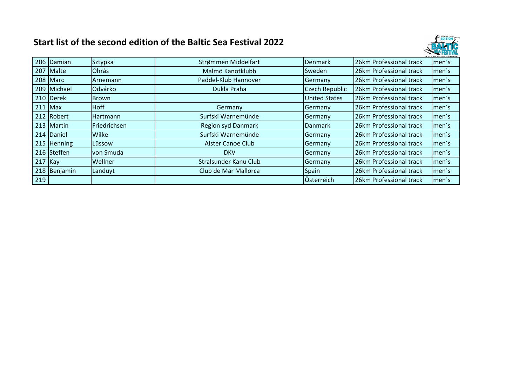

|           |                 |                 |                           |                      |                         | 20. - 23. Mai 2022 - KIEL-GERMANY |
|-----------|-----------------|-----------------|---------------------------|----------------------|-------------------------|-----------------------------------|
|           | 206 Damian      | Sztypka         | Strømmen Middelfart       | <b>Denmark</b>       | 26km Professional track | men's                             |
|           | 207 Malte       | Ohrås           | Malmö Kanotklubb          | Sweden               | 26km Professional track | men's                             |
|           | 208 Marc        | Arnemann        | Paddel-Klub Hannover      | Germany              | 26km Professional track | men's                             |
|           | 209 Michael     | Odvárko         | Dukla Praha               | Czech Republic       | 26km Professional track | men's                             |
|           | 210 Derek       | <b>Brown</b>    |                           | <b>United States</b> | 26km Professional track | men's                             |
| $211$ Max |                 | <b>Hoff</b>     | Germany                   | Germany              | 26km Professional track | men's                             |
|           | 212 Robert      | <b>Hartmann</b> | Surfski Warnemünde        | Germany              | 26km Professional track | men's                             |
|           | 213 Martin      | Friedrichsen    | <b>Region syd Danmark</b> | <b>Danmark</b>       | 26km Professional track | men's                             |
|           | 214 Daniel      | Wilke           | Surfski Warnemünde        | Germany              | 26km Professional track | men's                             |
|           | $215$ Henning   | Lüssow          | <b>Alster Canoe Club</b>  | Germany              | 26km Professional track | men's                             |
|           | 216 Steffen     | von Smuda       | <b>DKV</b>                | Germany              | 26km Professional track | men's                             |
| $217$ Kay |                 | Wellner         | Stralsunder Kanu Club     | Germany              | 26km Professional track | men's                             |
| 218       | <b>Benjamin</b> | Landuyt         | Club de Mar Mallorca      | <b>Spain</b>         | 26km Professional track | men's                             |
| 219       |                 |                 |                           | Österreich           | 26km Professional track | men's                             |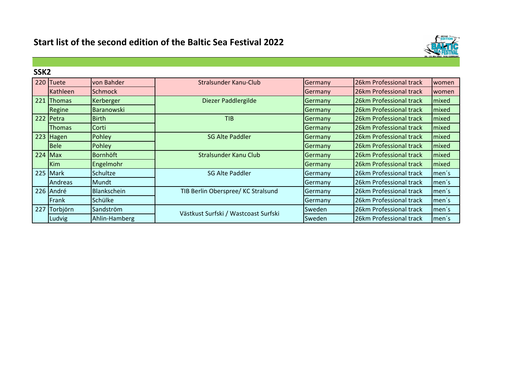

| SSK <sub>2</sub> |                |                    |                                      |         |                         |       |
|------------------|----------------|--------------------|--------------------------------------|---------|-------------------------|-------|
|                  | 220 Tuete      | von Bahder         | Stralsunder Kanu-Club                | Germany | 26km Professional track | women |
|                  | Kathleen       | <b>Schmock</b>     |                                      | Germany | 26km Professional track | women |
| 221              | <b>IThomas</b> | Kerberger          | Diezer Paddlergilde                  | Germany | 26km Professional track | mixed |
|                  | Regine         | <b>Baranowski</b>  |                                      | Germany | 26km Professional track | mixed |
|                  | 222 Petra      | <b>Birth</b>       | <b>TIB</b>                           | Germany | 26km Professional track | mixed |
|                  | Thomas         | Corti              |                                      | Germany | 26km Professional track | mixed |
|                  | 223 Hagen      | Pohley             | <b>SG Alte Paddler</b>               | Germany | 26km Professional track | mixed |
|                  | <b>Bele</b>    | Pohley             |                                      | Germany | 26km Professional track | mixed |
| $224$ Max        |                | <b>Bornhöft</b>    | Stralsunder Kanu Club                | Germany | 26km Professional track | mixed |
|                  | Kim            | Engelmohr          |                                      | Germany | 26km Professional track | mixed |
|                  | 225 Mark       | Schultze           | <b>SG Alte Paddler</b>               | Germany | 26km Professional track | men's |
|                  | <b>Andreas</b> | Mundt              |                                      | Germany | 26km Professional track | men's |
|                  | 226 André      | <b>Blankschein</b> | TIB Berlin Oberspree/ KC Stralsund   | Germany | 26km Professional track | men's |
|                  | Frank          | Schülke            |                                      | Germany | 26km Professional track | men's |
| 227              | Torbjörn       | Sandström          | Västkust Surfski / Wastcoast Surfski | Sweden  | 26km Professional track | men's |
|                  | Ludvig         | Ahlin-Hamberg      |                                      | Sweden  | 26km Professional track | men's |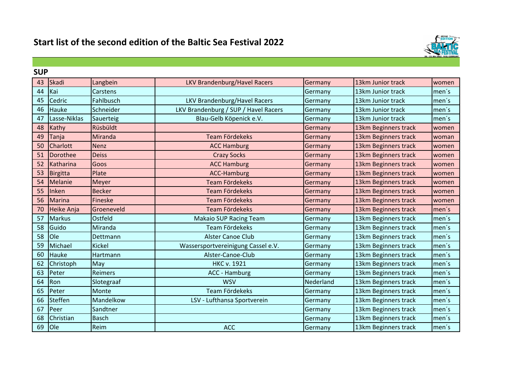

| <b>SUP</b> |                 |                |                                      |           |                      |       |  |  |
|------------|-----------------|----------------|--------------------------------------|-----------|----------------------|-------|--|--|
| 43         | Skadi           | Langbein       | <b>LKV Brandenburg/Havel Racers</b>  | Germany   | 13km Junior track    | women |  |  |
| 44         | Kai             | Carstens       |                                      | Germany   | 13km Junior track    | men's |  |  |
| 45         | Cedric          | Fahlbusch      | LKV Brandenburg/Havel Racers         | Germany   | 13km Junior track    | men's |  |  |
| 46         | Hauke           | Schneider      | LKV Brandenburg / SUP / Havel Racers | Germany   | 13km Junior track    | men's |  |  |
| 47         | Lasse-Niklas    | Sauerteig      | Blau-Gelb Köpenick e.V.              | Germany   | 13km Junior track    | men's |  |  |
| 48         | Kathy           | Rüsbüldt       |                                      | Germany   | 13km Beginners track | women |  |  |
| 49         | Tanja           | Miranda        | <b>Team Fördekeks</b>                | Germany   | 13km Beginners track | woman |  |  |
| 50         | <b>Charlott</b> | <b>Nenz</b>    | <b>ACC Hamburg</b>                   | Germany   | 13km Beginners track | women |  |  |
| 51         | Dorothee        | <b>Deiss</b>   | <b>Crazy Socks</b>                   | Germany   | 13km Beginners track | women |  |  |
| 52         | Katharina       | Goos           | <b>ACC Hamburg</b>                   | Germany   | 13km Beginners track | women |  |  |
| 53         | Birgitta        | Plate          | <b>ACC-Hamburg</b>                   | Germany   | 13km Beginners track | women |  |  |
| 54         | Melanie         | Meyer          | <b>Team Fördekeks</b>                | Germany   | 13km Beginners track | women |  |  |
| 55         | Inken           | <b>Becker</b>  | Team Fördekeks                       | Germany   | 13km Beginners track | women |  |  |
| 56         | <b>Marina</b>   | <b>Fineske</b> | <b>Team Fördekeks</b>                | Germany   | 13km Beginners track | women |  |  |
| 70         | Heike Anja      | Groeneveld     | <b>Team Fördekeks</b>                | Germany   | 13km Beginners track | men's |  |  |
| 57         | <b>Markus</b>   | Ostfeld        | <b>Makaio SUP Racing Team</b>        | Germany   | 13km Beginners track | men's |  |  |
| 58         | Guido           | Miranda        | Team Fördekeks                       | Germany   | 13km Beginners track | men's |  |  |
| 58         | Ole             | Dettmann       | <b>Alster Canoe Club</b>             | Germany   | 13km Beginners track | men's |  |  |
| 59         | Michael         | <b>Kickel</b>  | Wassersportvereinigung Cassel e.V.   | Germany   | 13km Beginners track | men's |  |  |
| 60         | Hauke           | Hartmann       | Alster-Canoe-Club                    | Germany   | 13km Beginners track | men's |  |  |
| 62         | Christoph       | May            | <b>HKC v. 1921</b>                   | Germany   | 13km Beginners track | men's |  |  |
| 63         | Peter           | Reimers        | ACC - Hamburg                        | Germany   | 13km Beginners track | men's |  |  |
| 64         | Ron             | Slotegraaf     | <b>WSV</b>                           | Nederland | 13km Beginners track | men's |  |  |
| 65         | Peter           | Monte          | Team Fördekeks                       | Germany   | 13km Beginners track | men's |  |  |
| 66         | Steffen         | Mandelkow      | LSV - Lufthansa Sportverein          | Germany   | 13km Beginners track | men's |  |  |
| 67         | Peer            | Sandtner       |                                      | Germany   | 13km Beginners track | men's |  |  |
| 68         | Christian       | <b>Basch</b>   |                                      | Germany   | 13km Beginners track | men's |  |  |
| 69         | <b>O</b> le     | Reim           | <b>ACC</b>                           | Germany   | 13km Beginners track | men's |  |  |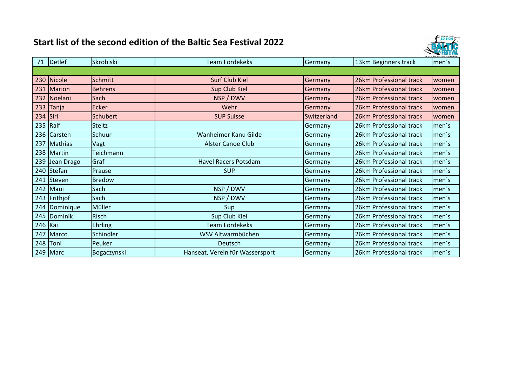

|         | 71 Detlef    | Skrobiski       | Team Fördekeks                  | Germany     | 13km Beginners track    | $l$ men´s |
|---------|--------------|-----------------|---------------------------------|-------------|-------------------------|-----------|
|         |              |                 |                                 |             |                         |           |
|         | 230 Nicole   | <b>Schmitt</b>  | <b>Surf Club Kiel</b>           | Germany     | 26km Professional track | women     |
|         | 231 Marion   | <b>Behrens</b>  | Sup Club Kiel                   | Germany     | 26km Professional track | women     |
|         | 232 Noelani  | Sach            | NSP / DWV                       | Germany     | 26km Professional track | women     |
|         | $233$ Tanja  | <b>Ecker</b>    | Wehr                            | Germany     | 26km Professional track | women     |
| 234     | Siri         | <b>Schubert</b> | <b>SUP Suisse</b>               | Switzerland | 26km Professional track | women     |
| 235     | Ralf         | <b>Steitz</b>   |                                 | Germany     | 26km Professional track | men's     |
|         | 236 Carsten  | Schuur          | Wanheimer Kanu Gilde            | Germany     | 26km Professional track | men's     |
| 237     | Mathias      | Vagt            | <b>Alster Canoe Club</b>        | Germany     | 26km Professional track | men's     |
|         | 238 Martin   | Teichmann       |                                 | Germany     | 26km Professional track | men's     |
| 239     | Jean Drago   | Graf            | <b>Havel Racers Potsdam</b>     | Germany     | 26km Professional track | men's     |
|         | 240 Stefan   | Prause          | <b>SUP</b>                      | Germany     | 26km Professional track | men's     |
| 241     | Steven       | <b>Bredow</b>   |                                 | Germany     | 26km Professional track | men's     |
|         | 242 Maui     | Sach            | NSP / DWV                       | Germany     | 26km Professional track | men's     |
|         | 243 Frithjof | Sach            | NSP / DWV                       | Germany     | 26km Professional track | men's     |
| 244     | Dominique    | Müller          | Sup                             | Germany     | 26km Professional track | men's     |
| 245     | Dominik      | <b>Risch</b>    | Sup Club Kiel                   | Germany     | 26km Professional track | men's     |
| 246 Kai |              | <b>Ehrling</b>  | Team Fördekeks                  | Germany     | 26km Professional track | men's     |
| 247     | Marco        | Schindler       | WSV Altwarmbüchen               | Germany     | 26km Professional track | men's     |
|         | 248 Toni     | Peuker          | Deutsch                         | Germany     | 26km Professional track | men's     |
|         | $249$ Marc   | Bogaczynski     | Hanseat, Verein für Wassersport | Germany     | 26km Professional track | men's     |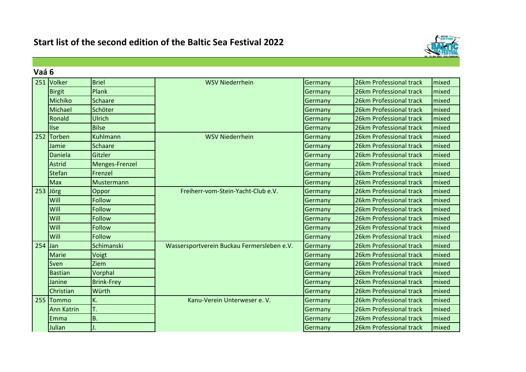

| Vaá 6     |                   |                   |                                            |         |                         |       |
|-----------|-------------------|-------------------|--------------------------------------------|---------|-------------------------|-------|
|           | 251 Volker        | <b>Briel</b>      | <b>WSV Niederrhein</b>                     | Germany | 26km Professional track | mixed |
|           | <b>Birgit</b>     | Plank             |                                            | Germany | 26km Professional track | mixed |
|           | Michiko           | Schaare           |                                            | Germany | 26km Professional track | mixed |
|           | Michael           | Schöter           |                                            | Germany | 26km Professional track | mixed |
|           | Ronald            | Ulrich            |                                            | Germany | 26km Professional track | mixed |
|           | Ilse              | <b>Bilse</b>      |                                            | Germany | 26km Professional track | mixed |
|           | 252 Torben        | <b>Kuhlmann</b>   | <b>WSV Niederrhein</b>                     | Germany | 26km Professional track | mixed |
|           | Jamie             | <b>Schaare</b>    |                                            | Germany | 26km Professional track | mixed |
|           | Daniela           | Gitzler           |                                            | Germany | 26km Professional track | mixed |
|           | <b>Astrid</b>     | Menges-Frenzel    |                                            | Germany | 26km Professional track | mixed |
|           | <b>Stefan</b>     | Frenzel           |                                            | Germany | 26km Professional track | mixed |
|           | Max               | Mustermann        |                                            | Germany | 26km Professional track | mixed |
|           | 253 Jörg          | Oppor             | Freiherr-vom-Stein-Yacht-Club e.V.         | Germany | 26km Professional track | mixed |
|           | Will              | Follow            |                                            | Germany | 26km Professional track | mixed |
|           | Will              | <b>Follow</b>     |                                            | Germany | 26km Professional track | mixed |
|           | Will              | <b>Follow</b>     |                                            | Germany | 26km Professional track | mixed |
|           | Will              | Follow            |                                            | Germany | 26km Professional track | mixed |
|           | Will              | <b>Follow</b>     |                                            | Germany | 26km Professional track | mixed |
| $254$ Jan |                   | Schimanski        | Wassersportverein Buckau Fermersleben e.V. | Germany | 26km Professional track | mixed |
|           | <b>Marie</b>      | Voigt             |                                            | Germany | 26km Professional track | mixed |
|           | Sven              | Ziem              |                                            | Germany | 26km Professional track | mixed |
|           | <b>Bastian</b>    | Vorphal           |                                            | Germany | 26km Professional track | mixed |
|           | Janine            | <b>Brink-Frey</b> |                                            | Germany | 26km Professional track | mixed |
|           | Christian         | Würth             |                                            | Germany | 26km Professional track | mixed |
|           | 255 Tommo         | K.                | Kanu-Verein Unterweser e. V.               | Germany | 26km Professional track | mixed |
|           | <b>Ann Katrin</b> | T.                |                                            | Germany | 26km Professional track | mixed |
|           | Emma              | Β.                |                                            | Germany | 26km Professional track | mixed |
|           | Julian            |                   |                                            | Germany | 26km Professional track | mixed |